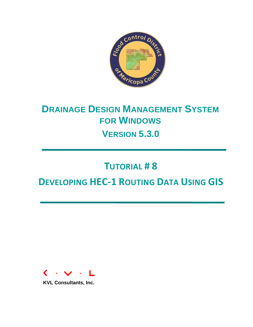

# **DRAINAGE DESIGN MANAGEMENT SYSTEM FOR WINDOWS VERSION 5.3.0**

# **TUTORIAL # 8**

# **DEVELOPING HEC-1 ROUTING DATA USING GIS**



**KVL Consultants, Inc.**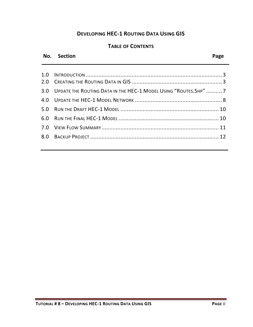# **DEVELOPING HEC-1 ROUTING DATA USING GIS**

# **TABLE OF CONTENTS**

# **No. Section Page**

| 3.0 UPDATE THE ROUTING DATA IN THE HEC-1 MODEL USING "ROUTES. SHP"  7 |  |
|-----------------------------------------------------------------------|--|
|                                                                       |  |
|                                                                       |  |
|                                                                       |  |
|                                                                       |  |
|                                                                       |  |
|                                                                       |  |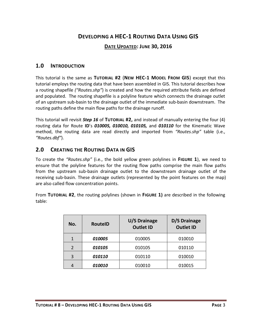# **DEVELOPING A HEC-1 ROUTING DATA USING GIS**

#### **DATE UPDATED: JUNE 30, 2016**

#### <span id="page-2-0"></span>**1.0 INTRODUCTION**

This tutorial is the same as **TUTORIAL #2** (**NEW HEC-1 MODEL FROM GIS**) except that this tutorial employs the routing data that have been assembled in GIS. This tutorial describes how a routing shapefile *("Routes.shp"*) is created and how the required attribute fields are defined and populated. The routing shapefile is a polyline feature which connects the drainage outlet of an upstream sub-basin to the drainage outlet of the immediate sub-basin downstream. The routing paths define the main flow paths for the drainage runoff.

This tutorial will revisit *Step 16* of **TUTORIAL #2,** and instead of manually entering the four (4) routing data for Route **ID**'s *010005, 010010, 010105,* and *010110* for the Kinematic Wave method, the routing data are read directly and imported from *"Routes.shp"* table (i.e., *"Routes.dbf"*).

### <span id="page-2-1"></span>**2.0 CREATING THE ROUTING DATA IN GIS**

To create the *"Routes.shp"* (i.e., the bold yellow green polylines in **FIGURE 1**), we need to ensure that the polyline features for the routing flow paths comprise the main flow paths from the upstream sub-basin drainage outlet to the downstream drainage outlet of the receiving sub-basin. These drainage outlets (represented by the point features on the map) are also called flow concentration points.

From **TUTORIAL #2**, the routing polylines (shown in **FIGURE 1)** are described in the following table:

| No.            | <b>RouteID</b>       | U/S Drainage<br><b>Outlet ID</b> | D/S Drainage<br><b>Outlet ID</b> |
|----------------|----------------------|----------------------------------|----------------------------------|
| 1              | 010005               | 010005                           | 010010                           |
| $\overline{2}$ | 010105               | 010105                           | 010110                           |
| 3              | <i><b>010110</b></i> | 010110                           | 010010                           |
|                | 010010               | 010010                           | 010015                           |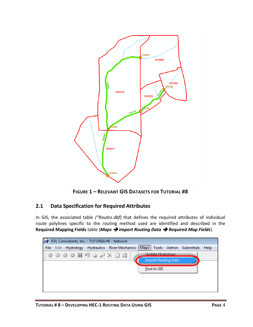

**FIGURE 1 – RELEVANT GIS DATASETS FOR TUTORIAL #8**

# **2.1 Data Specification for Required Attributes**

In GIS, the associated table *("Routes.dbf*) that defines the required attributes of individual route polylines specific to the routing method used are identified and described in the **Required Mapping Fields** table (*Maps Import Routing Data Required Map Fields*).

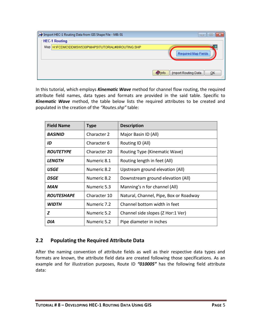| Import HEC-1 Routing Data from GIS Shape File - MB: 01 | -9<br>$\Box$                               |
|--------------------------------------------------------|--------------------------------------------|
| <b>HEC-1 Routing</b>                                   |                                            |
| Map H:\FCDMC\DDMSW530P\MAPS\TUTORIAL#8\ROUTING.SHP     | <b>by</b><br>Œ<br>Required Map Fields      |
|                                                        | Import Routing Data<br><b>O</b> lnfo<br>QK |

In this tutorial, which employs *Kinematic Wave* method for channel flow routing, the required attribute field names, data types and formats are provided in the said table. Specific to *Kinematic Wave* method, the table below lists the required attributes to be created and populated in the creation of the *"Routes.shp"* table:

| <b>Field Name</b>     | Type         | <b>Description</b>                     |  |  |  |  |  |
|-----------------------|--------------|----------------------------------------|--|--|--|--|--|
| <i><b>BASINID</b></i> | Character 2  | Major Basin ID (All)                   |  |  |  |  |  |
| ID                    | Character 6  | Routing ID (All)                       |  |  |  |  |  |
| <b>ROUTETYPE</b>      | Character 20 | Routing Type (Kinematic Wave)          |  |  |  |  |  |
| <i><b>LENGTH</b></i>  | Numeric 8.1  | Routing length in feet (All)           |  |  |  |  |  |
| USGE                  | Numeric 8.2  | Upstream ground elevation (All)        |  |  |  |  |  |
| DSGE                  | Numeric 8.2  | Downstream ground elevation (All)      |  |  |  |  |  |
| <b>MAN</b>            | Numeric 5.3  | Manning's n for channel (All)          |  |  |  |  |  |
| <b>ROUTESHAPE</b>     | Character 10 | Natural, Channel, Pipe, Box or Roadway |  |  |  |  |  |
| <b>WIDTH</b>          | Numeric 7.2  | Channel bottom width in feet           |  |  |  |  |  |
| Ζ                     | Numeric 5.2  | Channel side slopes (Z Hor:1 Ver)      |  |  |  |  |  |
| DIA                   | Numeric 5.2  | Pipe diameter in inches                |  |  |  |  |  |

#### **2.2 Populating the Required Attribute Data**

After the naming convention of attribute fields as well as their respective data types and formats are known, the attribute field data are created following those specifications. As an example and for illustration purposes, Route ID *"010005"* has the following field attribute data: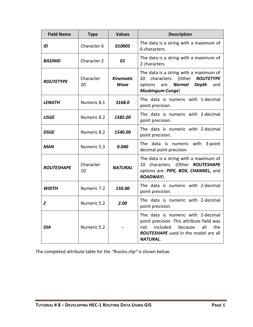| <b>Field Name</b>    | <b>Type</b>     | <b>Values</b>                   | <b>Description</b>                                                                                                                                                                     |
|----------------------|-----------------|---------------------------------|----------------------------------------------------------------------------------------------------------------------------------------------------------------------------------------|
| ID                   | Character 6     | 010005                          | The data is a string with a maximum of<br>6 characters.                                                                                                                                |
| <b>BASINID</b>       | Character 2     | 01                              | The data is a string with a maximum of<br>2 characters                                                                                                                                 |
| <b>ROUTETYPE</b>     | Character<br>20 | <b>Kinematic</b><br><b>Wave</b> | The data is a string with a maximum of<br>characters. (Other ROUTETYPE<br>20<br>Normal<br><b>Depth</b><br>options<br>are<br>and<br>Muskingum-Cunge)                                    |
| <i><b>LENGTH</b></i> | Numeric 8.1     | 3168.0                          | The data is numeric with 1-decimal<br>point precision.                                                                                                                                 |
| <b>USGE</b>          | Numeric 8.2     | 1585.00                         | The data is numeric with 2-decimal<br>point precision.                                                                                                                                 |
| <b>DSGE</b>          | Numeric 8.2     | 1540.00                         | The data is numeric with 2-decimal<br>point precision.                                                                                                                                 |
| <b>MAN</b>           | Numeric 5.3     | 0.040                           | The data is numeric with 3-point<br>decimal point precision                                                                                                                            |
| <b>ROUTESHAPE</b>    | Character<br>10 | <b>NATURAL</b>                  | The data is a string with a maximum of<br>10 characters. (Other ROUTESHAPE<br>options are: PIPE, BOX, CHANNEL, and<br>ROADWAY).                                                        |
| <b>WIDTH</b>         | Numeric 7.2     | 150.00                          | The data is numeric with 2-decimal<br>point precision.                                                                                                                                 |
| Z                    | Numeric 5.2     | 2.00                            | The data is numeric with 2-decimal<br>point precision.                                                                                                                                 |
| <b>DIA</b>           | Numeric 5.2     |                                 | The data is numeric with 2-decimal<br>point precision. This attribute field was<br>included<br>because<br>all<br>the<br>not<br>ROUTESHAPE used in the model are all<br><b>NATURAL.</b> |

The completed attribute table for the *"Routes.shp"* is shown below.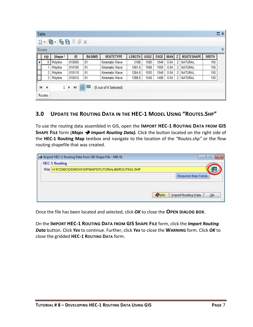|   | Table                                                       |                                                                        |        |                |                  |               |             |             |            |   |                   |              | $\Box$ $\times$ |
|---|-------------------------------------------------------------|------------------------------------------------------------------------|--------|----------------|------------------|---------------|-------------|-------------|------------|---|-------------------|--------------|-----------------|
|   |                                                             | $\mathbb{E} \cdot  \mathcal{B} \cdot  = \mathcal{B} \times \mathbb{E}$ |        |                |                  |               |             |             |            |   |                   |              |                 |
|   | Routes                                                      |                                                                        |        |                |                  |               |             |             |            |   |                   |              | x               |
|   | <b>FID</b>                                                  | Shape *                                                                | ID     | <b>BASINID</b> | <b>ROUTETYPE</b> | <b>LENGTH</b> | <b>USGE</b> | <b>DSGE</b> | <b>MAN</b> | z | <b>ROUTESHAPE</b> | <b>WIDTH</b> |                 |
| r | 0                                                           | Polyline                                                               | 010005 | 01             | Kinematic Wave   | 3168          | 1585        | 1540        | 0.04       | 2 | NATURAL           | 150          |                 |
|   |                                                             | Polyline                                                               | 010105 | 01             | Kinematic Wave   | 1091.8        | 1590        | 1555        | 0.04       | 2 | NATURAL           | 150          |                 |
|   | 2.                                                          | Polyline                                                               | 010110 | 01             | Kinematic Wave   | 1264.8        | 1555        | 1540        | 0.04       | 2 | NATURAL           | 150          |                 |
|   | 3.                                                          | Polyline                                                               | 010010 | 01             | Kinematic Wave   | 1589.8        | 1540        | 1480        | 0.04       | 2 | <b>NATURAL</b>    | 150          |                 |
|   | 信<br>(0 out of 4 Selected)<br>$1 \rightarrow H$<br>$14 - 4$ |                                                                        |        |                |                  |               |             |             |            |   |                   |              |                 |
|   | Routes                                                      |                                                                        |        |                |                  |               |             |             |            |   |                   |              |                 |

# <span id="page-6-0"></span>**3.0 UPDATE THE ROUTING DATA IN THE HEC-1 MODEL USING "ROUTES.SHP"**

To use the routing data assembled in GIS, open the **IMPORT HEC-1 ROUTING DATA FROM GIS SHAPE FILE** form (*Maps Import Routing Data).* Click the button located on the right side of the **HEC-1 Routing Map** textbox and navigate to the location of the *"Routes.shp"* or the flow routing shapefile that was created.

| Import HEC-1 Routing Data from GIS Shape File - MB: 01 | -9<br>$\Box$                          |
|--------------------------------------------------------|---------------------------------------|
| <b>HEC-1 Routing</b>                                   |                                       |
| Map H:\FCDMC\DDMSW530P\MAPS\TUTORIAL#8\ROUTING.SHP     |                                       |
|                                                        | Required Map Fields                   |
|                                                        |                                       |
|                                                        | Import Routing Data<br>$Q$ Info<br>QK |

Once the file has been located and selected, click *OK* to close the **OPEN DIALOG BOX**.

On the **IMPORT HEC-1 ROUTING DATA FROM GIS SHAPE FILE** form, click the *Import Routing Data* button. Click *Yes* to continue. Further, click *Yes* to close the **WARNING** form. Click *OK* to close the gridded **HEC-1 ROUTING DATA** form.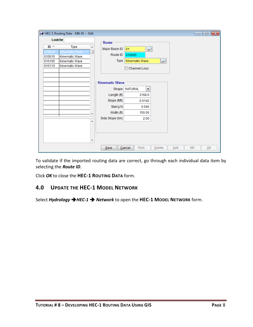|                 |        | HEC-1 Routing Data - MB: 01 -- Edit |        |                       |                                        |                   |     |           | $\Box$ $\Box$ $\mathbf{x}$        |
|-----------------|--------|-------------------------------------|--------|-----------------------|----------------------------------------|-------------------|-----|-----------|-----------------------------------|
| <b>Look for</b> |        |                                     | Route  |                       |                                        |                   |     |           |                                   |
|                 | $ID -$ | Type                                | ▲      | Major Basin ID        | ₽<br>01                                |                   |     |           |                                   |
|                 | 10005  | Kinematic Wave                      |        |                       |                                        |                   |     |           |                                   |
|                 | 010010 | Kinematic Wave                      |        | Route ID              | 010005                                 |                   |     |           |                                   |
|                 | 010105 | Kinematic Wave                      |        | Type                  | Kinematic Wave                         | $\overline{\rho}$ |     |           |                                   |
|                 | 010110 | Kinematic Wave                      |        |                       | Channel Loss                           |                   |     |           |                                   |
|                 |        |                                     |        | <b>Kinematic Wave</b> |                                        |                   |     |           |                                   |
|                 |        |                                     |        | Shape                 | <b>NATURAL</b><br>$\blacktriangledown$ |                   |     |           |                                   |
|                 |        |                                     |        | Length (ft)           | 3168.0                                 |                   |     |           |                                   |
|                 |        |                                     |        | Slope (ft/ft)         | 0.0142                                 |                   |     |           |                                   |
|                 |        |                                     |        | Man'g N               | 0.040                                  |                   |     |           |                                   |
|                 |        |                                     |        | Width (ft)            | 150.00                                 |                   |     |           |                                   |
|                 |        |                                     |        | Side Slope (h/v)      | 2.00                                   |                   |     |           |                                   |
|                 |        |                                     | ▲<br>▼ |                       |                                        |                   |     |           |                                   |
|                 |        |                                     |        | Save                  | Print<br>Cancel                        | Delete            | Add | <b>MB</b> | $\overline{\mathsf{O}}\mathsf{K}$ |

To validate if the imported routing data are correct, go through each individual data item by selecting the *Route ID*.

Click *OK* to close the **HEC-1 ROUTING DATA** form.

#### <span id="page-7-0"></span>**4.0 UPDATE THE HEC-1 MODEL NETWORK**

Select *Hydrology HEC-1 Network* to open the **HEC-1 MODEL NETWORK** form.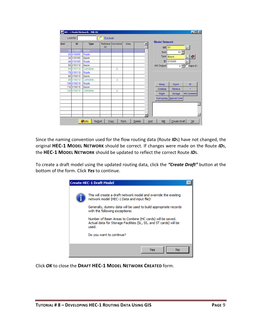|      | Look for   | HEC-1 Model Network - MB: 01  | Exclude |                  |       |               |     |                                 |               | $\Box$ olxi           |
|------|------------|-------------------------------|---------|------------------|-------|---------------|-----|---------------------------------|---------------|-----------------------|
| Sort | ID         | <b>Type</b>                   | ID      | Retrieve Combine | Area  |               |     | <b>Model Network</b><br>$MB$ 01 |               |                       |
|      | 10 010005  | <b>Basin</b>                  |         |                  |       |               |     | Sort                            | $10 \div$     |                       |
|      | 20 010005  | Route                         |         |                  |       |               |     |                                 |               |                       |
|      | 30 010105  | <b>Basin</b>                  |         |                  |       |               |     | Type Basin                      |               | O                     |
|      | 40 010105  | Route                         |         |                  |       |               |     | ID                              | 010005        |                       |
|      | 50 010110  | Basin                         |         |                  |       |               |     | KO Output                       |               | $0 - \square$ Tape 21 |
|      | 60 010110  | Combine                       |         | $\overline{2}$   |       |               |     |                                 |               |                       |
|      | 70 010110  | Route                         |         |                  |       |               |     |                                 |               |                       |
|      | 80 010010  | <b>Basin</b>                  |         |                  |       |               |     |                                 |               |                       |
|      | 90 010010  | Combine                       |         | 3                |       |               |     |                                 |               |                       |
|      | 100 010010 | Route                         |         |                  |       |               |     | <b>Basin</b>                    | <b>Divert</b> | ID                    |
|      | 110 010015 | <b>Basin</b>                  |         |                  |       |               |     | Combine                         | Retrieve      | $\pm$                 |
|      | 120 010015 | Combine                       |         | 2                |       |               |     |                                 |               |                       |
|      |            |                               |         |                  |       |               |     | Route                           | Storage       | <b>KM Comment</b>     |
|      |            |                               |         |                  |       |               |     | Hydrograph                      | Special Code  |                       |
|      |            |                               |         |                  |       |               |     |                                 |               |                       |
|      |            |                               |         |                  |       |               |     |                                 |               |                       |
|      |            |                               |         |                  |       |               |     |                                 |               |                       |
|      |            |                               |         |                  |       |               |     |                                 |               |                       |
|      |            | <b>Olnfo</b><br><b>Resort</b> |         | Copy             | Print | <b>Delete</b> | Add | <b>MB</b>                       | Create Draft  | QK                    |

Since the naming convention used for the flow routing data (Route *ID*s) have not changed, the original **HEC-1 MODEL NETWORK** should be correct. If changes were made on the Route *ID*s, the **HEC-1 MODEL NETWORK** should be updated to reflect the correct Route *ID*s.

To create a draft model using the updated routing data, click the *"Create Draft"* button at the bottom of the form. Click *Yes* to continue.



Click *OK* to close the **DRAFT HEC-1 MODEL NETWORK CREATED** form.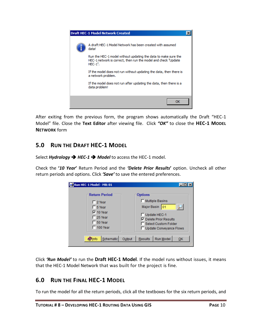

After exiting from the previous form, the program shows automatically the Draft "HEC-1 Model" file. Close the **Text Editor** after viewing file. Click *"OK"* to close the **HEC-1 MODEL NETWORK** form

# <span id="page-9-0"></span>**5.0 RUN THE DRAFT HEC-1 MODEL**

Select *Hydrology*  $\rightarrow$  HEC-1  $\rightarrow$  Model to access the HEC-1 model.

Check the **'***10 Year***'** Return Period and the *'Delete Prior Results***'** option. Uncheck all other return periods and options. Click *'Save'* to save the entered preferences.

| Run HEC-1 Model - MB: 01                                             |        |                |                                                                            |    |  |
|----------------------------------------------------------------------|--------|----------------|----------------------------------------------------------------------------|----|--|
| <b>Return Period</b>                                                 |        | <b>Options</b> |                                                                            |    |  |
| $\Box$ 2 Year<br>$\Box$ 5 Year<br>$\nabla$ 10 Year<br>$\Box$ 25 Year |        | Major Basin    | Multiple Basins<br>101<br>Update HEC-1<br><b>▽</b> Delete Prior Results    |    |  |
| $\Box$ 50 Year<br>$\Box$ 100 Year<br>Schematic<br><b>Olnfo</b>       | Output | Results        | <b>Select Custom Folder</b><br><b>Update Conveyance Flows</b><br>Run Model | OK |  |
|                                                                      |        |                |                                                                            |    |  |

Click *'Run Model'* to run the **Draft HEC-1 Model**. If the model runs without issues, it means that the HEC-1 Model Network that was built for the project is fine.

# <span id="page-9-1"></span>**6.0 RUN THE FINAL HEC-1 MODEL**

To run the model for all the return periods, click all the textboxes for the six return periods, and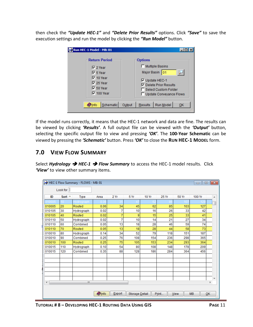then check the *"Update HEC-1"* and *"Delete Prior Results"* options. Click *"Save"* to save the execution settings and run the model by clicking the *"Run Model"* button.

| Run HEC-1 Model - MB: 01                                                      |        |                                                                                                             |
|-------------------------------------------------------------------------------|--------|-------------------------------------------------------------------------------------------------------------|
| <b>Return Period</b>                                                          |        | <b>Options</b>                                                                                              |
| $\nabla$ 2 Year                                                               |        | Multiple Basins                                                                                             |
| $\nabla$ 5 Year                                                               |        | Major Basin 01                                                                                              |
| $\nabla$ 10 Year<br>$\nabla$ 25 Year<br>$\nabla$ 50 Year<br>$\nabla$ 100 Year |        | <b>▽</b> Update HEC-1<br><b>▽</b> Delete Prior Results<br>Select Custom Folder<br>□ Update Conveyance Flows |
| Schematic<br><b>Olnfo</b>                                                     | Output | Run Model<br><b>Results</b><br>QK                                                                           |

If the model runs correctly, it means that the HEC-1 network and data are fine. The results can be viewed by clicking *'Results'*. A full output file can be viewed with the *'Output'* button, selecting the specific output file to view and pressing *'OK'*. The **100-Year Schematic** can be viewed by pressing the *'Schematic'* button. Press *'OK'* to close the **RUN HEC-1 MODEL** form.

# <span id="page-10-0"></span>**7.0 VIEW FLOW SUMMARY**

Select *Hydrology* **→ HEC-1** → Flow Summary to access the HEC-1 model results. Click *'View'* to view other summary items.

|                      |                  | HEC-1 Flow Summary - FLOWS - MB: 01 |              |        |                |       |       |       | -- 0      | $\parallel x$             |   |  |  |
|----------------------|------------------|-------------------------------------|--------------|--------|----------------|-------|-------|-------|-----------|---------------------------|---|--|--|
|                      | Look for         |                                     |              |        |                |       |       |       |           |                           |   |  |  |
| ID                   | Sort $\triangle$ | <b>Type</b>                         | Area         | 2 Yr   | 5 Yr           | 10 Yr | 25 Yr | 50 Yr | 100 Yr    |                           | ▲ |  |  |
| )10005               |                  | drograph                            | 0.0          |        |                |       |       |       |           |                           |   |  |  |
| 010005               | 20               | Routed                              | 0.06         | 34     | 45             | 62    | 85    | 103   | 127       |                           |   |  |  |
| 010105               | 30               | Hydrograph                          | 0.02         | 7      | 10             | 16    | 26    | 33    | 42        |                           |   |  |  |
| 010105               | 40               | Routed                              | 0.02         | 7      | 9              | 15    | 25    | 33    | 41        |                           |   |  |  |
| 010110               | 50               | Hydrograph                          | 0.02         | 7      | 10             | 14    | 21    | 27    | 34        |                           |   |  |  |
| 010110               | 60               | Combined                            | 0.05         | 13     | 18             | 28    | 46    | 59    | 74        |                           |   |  |  |
| 010110               | 70               | Routed                              | 0.05         | 13     | 18             | 28    | 44    | 58    | 73        |                           |   |  |  |
| 010010               | 80               | Hydrograph                          | 0.14         | 34     | 52             | 79    | 118   | 151   | 187       |                           |   |  |  |
| 010010               | 90               | Combined                            | 0.25         | 76     | 108            | 154   | 236   | 298   | 365       |                           |   |  |  |
| 010010               | 100              | Routed                              | 0.25         | 75     | 105            | 153   | 234   | 293   | 364       |                           |   |  |  |
| 010015               | 110              | Hydrograph                          | 0.10         | 54     | 80             | 108   | 148   | 178   | 209       |                           |   |  |  |
| 010015               | 120              | Combined                            | 0.35         | 88     | 128            | 186   | 284   | 364   | 456       |                           |   |  |  |
|                      |                  |                                     |              |        |                |       |       |       |           |                           |   |  |  |
|                      |                  |                                     |              |        |                |       |       |       |           |                           |   |  |  |
|                      |                  |                                     |              |        |                |       |       |       |           |                           |   |  |  |
|                      |                  |                                     |              |        |                |       |       |       |           |                           |   |  |  |
|                      |                  |                                     |              |        |                |       |       |       |           |                           |   |  |  |
| $\blacktriangleleft$ |                  | m                                   |              |        |                |       |       |       |           | r                         |   |  |  |
|                      |                  |                                     |              | Export |                |       |       |       | <b>MB</b> |                           |   |  |  |
|                      |                  |                                     | <b>Olnfo</b> |        | Storage Detail |       | Print | View  |           | $\overline{\mathsf{O}}$ K |   |  |  |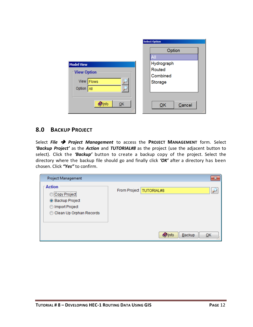|                                              | <b>Select Option</b>          |
|----------------------------------------------|-------------------------------|
| <b>Model View</b>                            | Option<br>All<br>Hydrograph   |
| View Option<br>View   Flows<br>Option<br>All | Routed<br>Combined<br>Storage |
| $\bullet$ Info<br>QK                         | Cancel<br>QK<br>al.           |

### <span id="page-11-0"></span>**8.0 BACKUP PROJECT**

Select *File Project Management* to access the **PROJECT MANAGEMENT** form. Select *'Backup Project'* as the *Action* and *TUTORIAL#8* as the project (use the adjacent button to select). Click the *'Backup'* button to create a backup copy of the project. Select the directory where the backup file should go and finally click *'OK'* after a directory has been chosen. Click *"Yes"* to confirm.

| Project Management                                                                                      |                           | $\mathbf{z}$ |
|---------------------------------------------------------------------------------------------------------|---------------------------|--------------|
| <b>Action</b><br><br>Copy Project<br><b>Backup Project</b><br>Import Project<br>Clean Up Orphan Records | From Project   TUTORIAL#8 |              |
|                                                                                                         | Backup<br><b>O</b> lnfo   | QK           |